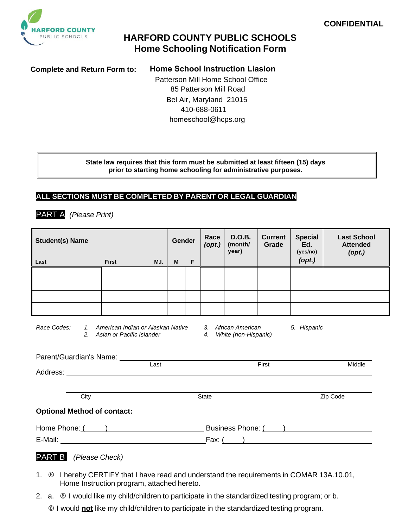

# **HARFORD COUNTY PUBLIC SCHOOLS Home Schooling Notification Form**

**Complete and Return Form to: Home School Instruction Liasion**

 Patterson Mill Home School Office 85 Patterson Mill Road Bel Air, Maryland 21015 410-688-0611 homeschool@hcps.org

**State law requires that this form must be submitted at least fifteen (15) days prior to starting home schooling for administrative purposes.**

### **ALL SECTIONS MUST BE COMPLETED BY PARENT OR LEGAL GUARDIAN**

PART A *(Please Print)*

**Student(s) Name Last First M.I. Gender M F Race** *(opt.)* **D.O.B. (month/ year) Current Grade Special Ed. (yes/no)** *(opt.)* **Last School Attended**  *(opt.) Race Codes: 1. American Indian or Alaskan Native 3. African American 5. Hispanic* **2.** Asian or Pacific Islander **4.** Parent/Guardian's Name: Last First Middle Address: City State Zip Code **Optional Method of contact:** Home Phone: ( ) and Business Phone: ( ) and Business Phone: ( ) and Business Phone: ( ) and Business Phone: ( ) and Business Phone: ( ) and Business Phone: ( ) and ( ) and ( ) and ( ) and ( ) and ( ) and ( ) and ( ) and ( E-Mail: Fax: ( ) PART B *(Please Check)*

- 1. © I hereby CERTIFY that I have read and understand the requirements in COMAR 13A.10.01, Home Instruction program, attached hereto.
- 2. a.  $\circ$  I would like my child/children to participate in the standardized testing program; or b.
	- I would **not** like my child/children to participate in the standardized testing program.